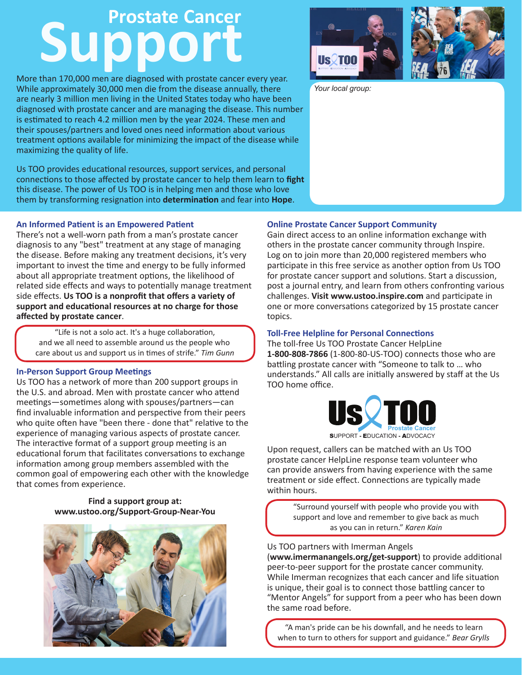# **Support**

More than 170,000 men are diagnosed with prostate cancer every year. While approximately 30,000 men die from the disease annually, there are nearly 3 million men living in the United States today who have been diagnosed with prostate cancer and are managing the disease. This number is estimated to reach 4.2 million men by the year 2024. These men and their spouses/partners and loved ones need information about various treatment options available for minimizing the impact of the disease while maximizing the quality of life.

Us TOO provides educational resources, support services, and personal connections to those affected by prostate cancer to help them learn to **fight** this disease. The power of Us TOO is in helping men and those who love them by transforming resignation into **determination** and fear into **Hope**.



*Your local group:*

# **An Informed Patient is an Empowered Patient**

There's not a well-worn path from a man's prostate cancer diagnosis to any "best" treatment at any stage of managing the disease. Before making any treatment decisions, it's very important to invest the time and energy to be fully informed about all appropriate treatment options, the likelihood of related side effects and ways to potentially manage treatment side effects. **Us TOO is a nonprofit that offers a variety of support and educational resources at no charge for those affected by prostate cancer**.

"Life is not a solo act. It's a huge collaboration, and we all need to assemble around us the people who care about us and support us in times of strife." *Tim Gunn*

### **In-Person Support Group Meetings**

Us TOO has a network of more than 200 support groups in the U.S. and abroad. Men with prostate cancer who attend meetings—sometimes along with spouses/partners—can find invaluable information and perspective from their peers who quite often have "been there - done that" relative to the experience of managing various aspects of prostate cancer. The interactive format of a support group meeting is an educational forum that facilitates conversations to exchange information among group members assembled with the common goal of empowering each other with the knowledge that comes from experience.

### **Find a support group at: www.ustoo.org/Support-Group-Near-You**



## **Online Prostate Cancer Support Community**

Gain direct access to an online information exchange with others in the prostate cancer community through Inspire. Log on to join more than 20,000 registered members who participate in this free service as another option from Us TOO for prostate cancer support and solutions. Start a discussion, post a journal entry, and learn from others confronting various challenges. **Visit www.ustoo.inspire.com** and participate in one or more conversations categorized by 15 prostate cancer topics.

### **Toll-Free Helpline for Personal Connections**

The toll-free Us TOO Prostate Cancer HelpLine **1-800-808-7866** (1-800-80-US-TOO) connects those who are battling prostate cancer with "Someone to talk to … who understands." All calls are initially answered by staff at the Us TOO home office.



Upon request, callers can be matched with an Us TOO prostate cancer HelpLine response team volunteer who can provide answers from having experience with the same treatment or side effect. Connections are typically made within hours.

> "Surround yourself with people who provide you with support and love and remember to give back as much as you can in return." *Karen Kain*

### Us TOO partners with Imerman Angels

(**www.imermanangels.org/get-support**) to provide additional peer-to-peer support for the prostate cancer community. While Imerman recognizes that each cancer and life situation is unique, their goal is to connect those battling cancer to "Mentor Angels" for support from a peer who has been down the same road before.

"A man's pride can be his downfall, and he needs to learn when to turn to others for support and guidance." *Bear Grylls*